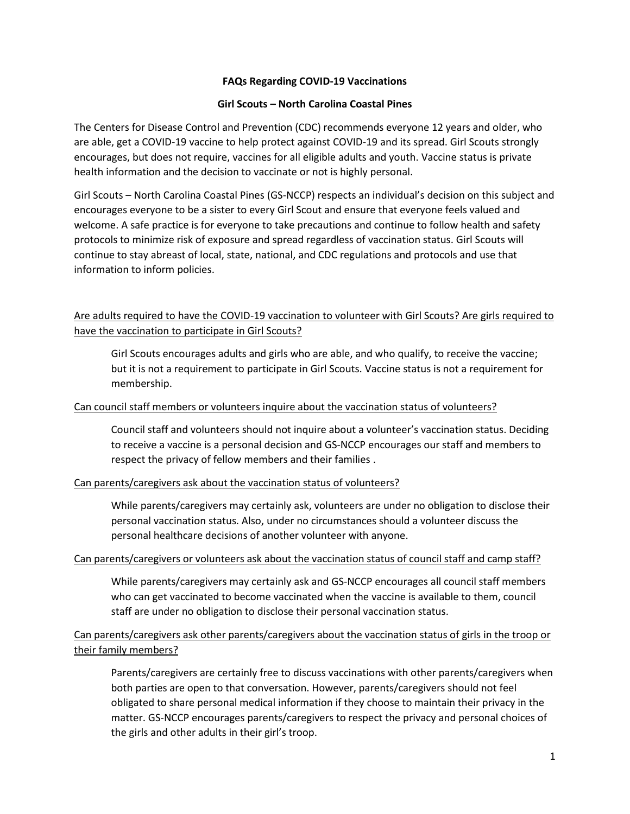# **FAQs Regarding COVID-19 Vaccinations**

# **Girl Scouts – North Carolina Coastal Pines**

The Centers for Disease Control and Prevention (CDC) recommends everyone 12 years and older, who are able, get a COVID-19 vaccine to help protect against COVID-19 and its spread. Girl Scouts strongly encourages, but does not require, vaccines for all eligible adults and youth. Vaccine status is private health information and the decision to vaccinate or not is highly personal.

Girl Scouts – North Carolina Coastal Pines (GS-NCCP) respects an individual's decision on this subject and encourages everyone to be a sister to every Girl Scout and ensure that everyone feels valued and welcome. A safe practice is for everyone to take precautions and continue to follow health and safety protocols to minimize risk of exposure and spread regardless of vaccination status. Girl Scouts will continue to stay abreast of local, state, national, and CDC regulations and protocols and use that information to inform policies.

# Are adults required to have the COVID-19 vaccination to volunteer with Girl Scouts? Are girls required to have the vaccination to participate in Girl Scouts?

Girl Scouts encourages adults and girls who are able, and who qualify, to receive the vaccine; but it is not a requirement to participate in Girl Scouts. Vaccine status is not a requirement for membership.

# Can council staff members or volunteers inquire about the vaccination status of volunteers?

Council staff and volunteers should not inquire about a volunteer's vaccination status. Deciding to receive a vaccine is a personal decision and GS-NCCP encourages our staff and members to respect the privacy of fellow members and their families .

### Can parents/caregivers ask about the vaccination status of volunteers?

While parents/caregivers may certainly ask, volunteers are under no obligation to disclose their personal vaccination status. Also, under no circumstances should a volunteer discuss the personal healthcare decisions of another volunteer with anyone.

### Can parents/caregivers or volunteers ask about the vaccination status of council staff and camp staff?

While parents/caregivers may certainly ask and GS-NCCP encourages all council staff members who can get vaccinated to become vaccinated when the vaccine is available to them, council staff are under no obligation to disclose their personal vaccination status.

# Can parents/caregivers ask other parents/caregivers about the vaccination status of girls in the troop or their family members?

Parents/caregivers are certainly free to discuss vaccinations with other parents/caregivers when both parties are open to that conversation. However, parents/caregivers should not feel obligated to share personal medical information if they choose to maintain their privacy in the matter. GS-NCCP encourages parents/caregivers to respect the privacy and personal choices of the girls and other adults in their girl's troop.